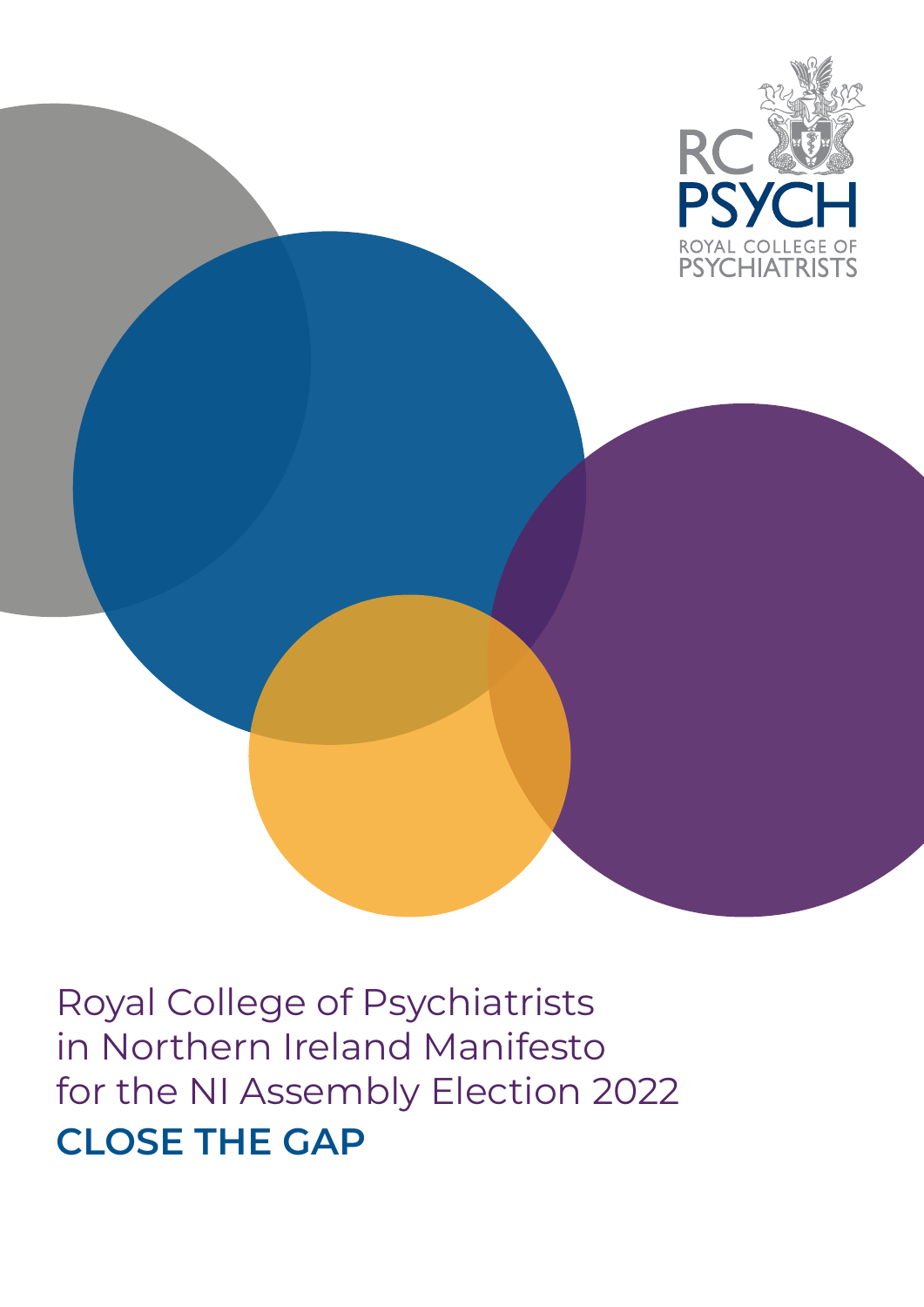

**CLOSE THE GAP** Royal College of Psychiatrists in Northern Ireland Manifesto for the NI Assembly Election 2022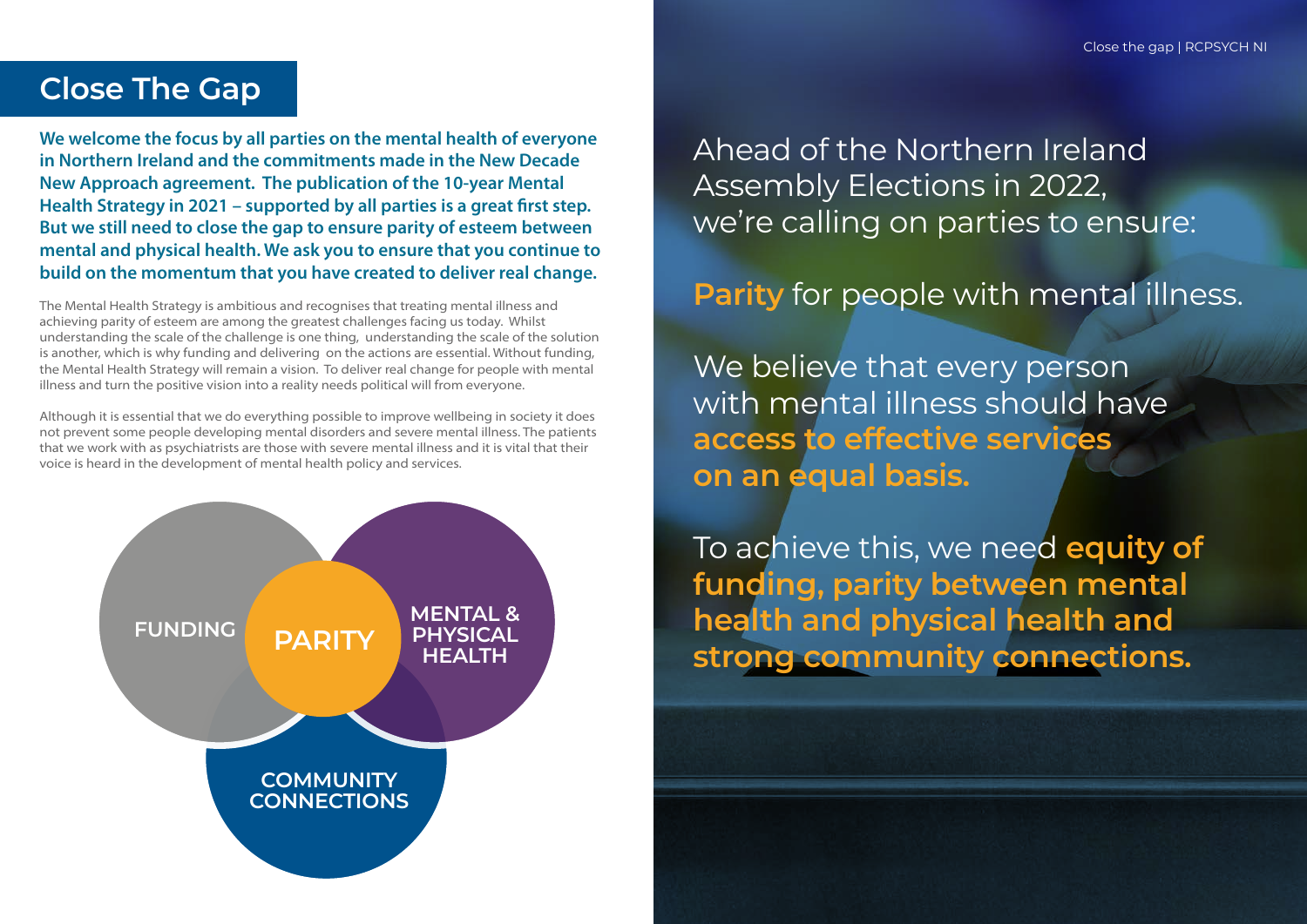**We welcome the focus by all parties on the mental health of everyone in Northern Ireland and the commitments made in the New Decade New Approach agreement. The publication of the 10-year Mental Health Strategy in 2021 – supported by all parties is a great first step. But we still need to close the gap to ensure parity of esteem between mental and physical health. We ask you to ensure that you continue to build on the momentum that you have created to deliver real change.** 

The Mental Health Strategy is ambitious and recognises that treating mental illness and achieving parity of esteem are among the greatest challenges facing us today. Whilst understanding the scale of the challenge is one thing, understanding the scale of the solution is another, which is why funding and delivering on the actions are essential. Without funding, the Mental Health Strategy will remain a vision. To deliver real change for people with mental illness and turn the positive vision into a reality needs political will from everyone.

We believe that every person with mental illness should have **access to effective services on an equal basis.** 

To achieve this, we need **equity of funding, parity between mental health and physical health and PARITY** PHYSICAL **REALTH PHYSICAL EXAMPLE STRONG COMMUNITY CONNECTIONS.** 

Although it is essential that we do everything possible to improve wellbeing in society it does not prevent some people developing mental disorders and severe mental illness. The patients that we work with as psychiatrists are those with severe mental illness and it is vital that their voice is heard in the development of mental health policy and services.

Ahead of the Northern Ireland Assembly Elections in 2022, we're calling on parties to ensure:

Parity for people with mental illness.



Close the gap | RCPSYCH NI

## **Close The Gap**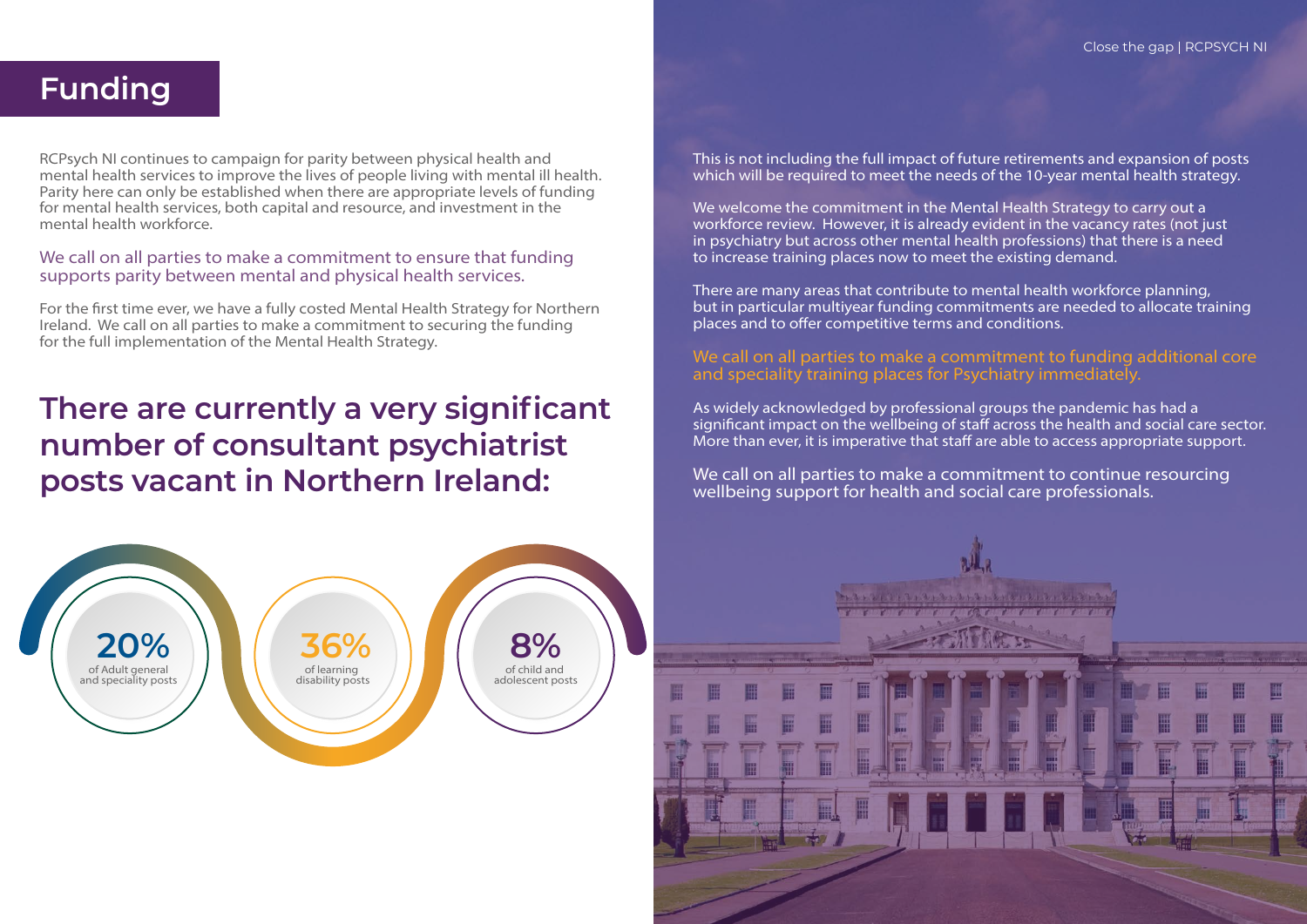RCPsych NI continues to campaign for parity between physical health and mental health services to improve the lives of people living with mental ill health. Parity here can only be established when there are appropriate levels of funding for mental health services, both capital and resource, and investment in the mental health workforce.

#### We call on all parties to make a commitment to ensure that funding supports parity between mental and physical health services.

This is not including the full impact of future retirements and expansion of posts which will be required to meet the needs of the 10-year mental health strategy.

For the first time ever, we have a fully costed Mental Health Strategy for Northern Ireland. We call on all parties to make a commitment to securing the funding for the full implementation of the Mental Health Strategy.

# **There are currently a very significant number of consultant psychiatrist posts vacant in Northern Ireland:**

#### We call on all parties to make a commitment to funding additional core and speciality training places for Psychiatry immediately.



We welcome the commitment in the Mental Health Strategy to carry out a workforce review. However, it is already evident in the vacancy rates (not just in psychiatry but across other mental health professions) that there is a need to increase training places now to meet the existing demand.

There are many areas that contribute to mental health workforce planning, but in particular multiyear funding commitments are needed to allocate training places and to offer competitive terms and conditions.

As widely acknowledged by professional groups the pandemic has had a significant impact on the wellbeing of staff across the health and social care sector. More than ever, it is imperative that staff are able to access appropriate support.

We call on all parties to make a commitment to continue resourcing wellbeing support for health and social care professionals.

# **Funding**

#### Close the gap | RCPSYCH NI

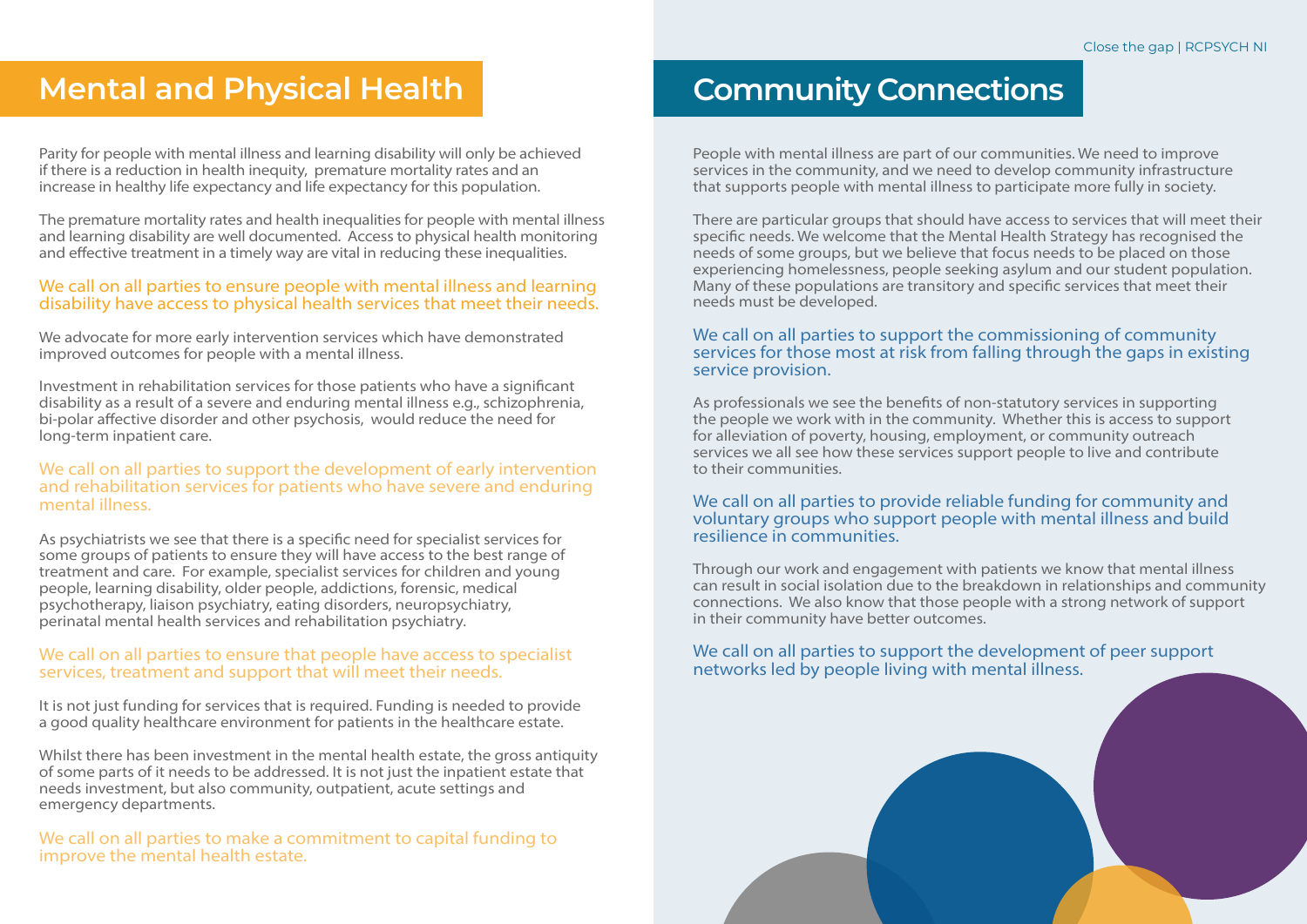People with mental illness are part of our communities. We need to improve services in the community, and we need to develop community infrastructure that supports people with mental illness to participate more fully in society.

There are particular groups that should have access to services that will meet their specific needs. We welcome that the Mental Health Strategy has recognised the needs of some groups, but we believe that focus needs to be placed on those experiencing homelessness, people seeking asylum and our student population. Many of these populations are transitory and specific services that meet their needs must be developed.

#### We call on all parties to support the commissioning of community services for those most at risk from falling through the gaps in existing service provision.

As professionals we see the benefits of non-statutory services in supporting the people we work with in the community. Whether this is access to support for alleviation of poverty, housing, employment, or community outreach services we all see how these services support people to live and contribute to their communities.

#### We call on all parties to provide reliable funding for community and voluntary groups who support people with mental illness and build resilience in communities.

Through our work and engagement with patients we know that mental illness can result in social isolation due to the breakdown in relationships and community connections. We also know that those people with a strong network of support in their community have better outcomes.

### We call on all parties to support the development of peer support networks led by people living with mental illness.



## **Mental and Physical Health <b>Community Connections**

Parity for people with mental illness and learning disability will only be achieved if there is a reduction in health inequity, premature mortality rates and an increase in healthy life expectancy and life expectancy for this population.

The premature mortality rates and health inequalities for people with mental illness and learning disability are well documented. Access to physical health monitoring and effective treatment in a timely way are vital in reducing these inequalities.

#### We call on all parties to ensure people with mental illness and learning disability have access to physical health services that meet their needs.

We advocate for more early intervention services which have demonstrated improved outcomes for people with a mental illness.

Investment in rehabilitation services for those patients who have a significant disability as a result of a severe and enduring mental illness e.g., schizophrenia, bi-polar affective disorder and other psychosis, would reduce the need for long-term inpatient care.

#### We call on all parties to support the development of early intervention and rehabilitation services for patients who have severe and enduring mental illness.

As psychiatrists we see that there is a specific need for specialist services for some groups of patients to ensure they will have access to the best range of treatment and care. For example, specialist services for children and young people, learning disability, older people, addictions, forensic, medical psychotherapy, liaison psychiatry, eating disorders, neuropsychiatry, perinatal mental health services and rehabilitation psychiatry.

#### We call on all parties to ensure that people have access to specialist services, treatment and support that will meet their needs.

It is not just funding for services that is required. Funding is needed to provide a good quality healthcare environment for patients in the healthcare estate.

Whilst there has been investment in the mental health estate, the gross antiquity of some parts of it needs to be addressed. It is not just the inpatient estate that needs investment, but also community, outpatient, acute settings and emergency departments.

We call on all parties to make a commitment to capital funding to improve the mental health estate.

#### Close the gap | RCPSYCH NI